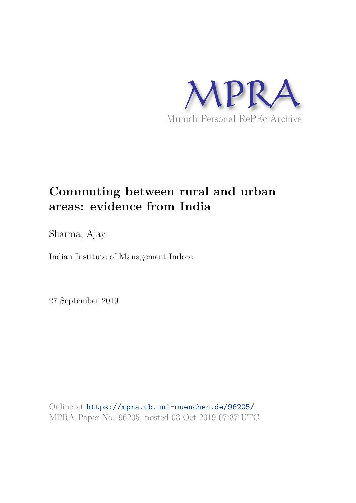

# **Commuting between rural and urban areas: evidence from India**

Sharma, Ajay

Indian Institute of Management Indore

27 September 2019

Online at https://mpra.ub.uni-muenchen.de/96205/ MPRA Paper No. 96205, posted 03 Oct 2019 07:37 UTC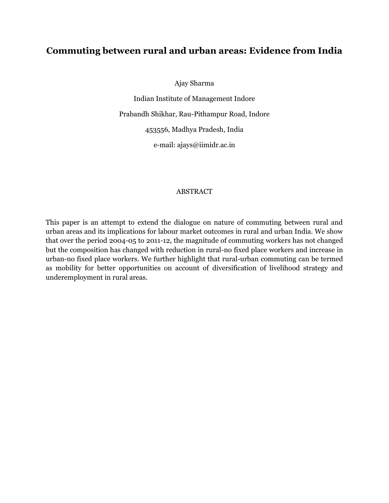# **Commuting between rural and urban areas: Evidence from India**

Ajay Sharma

Indian Institute of Management Indore Prabandh Shikhar, Rau-Pithampur Road, Indore 453556, Madhya Pradesh, India e-mail: ajays@iimidr.ac.in

# ABSTRACT

This paper is an attempt to extend the dialogue on nature of commuting between rural and urban areas and its implications for labour market outcomes in rural and urban India. We show that over the period 2004-05 to 2011-12, the magnitude of commuting workers has not changed but the composition has changed with reduction in rural-no fixed place workers and increase in urban-no fixed place workers. We further highlight that rural-urban commuting can be termed as mobility for better opportunities on account of diversification of livelihood strategy and underemployment in rural areas.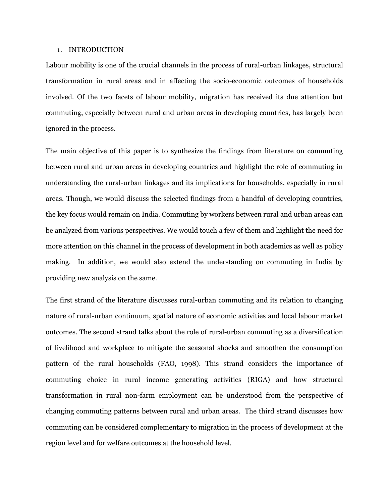#### 1. INTRODUCTION

Labour mobility is one of the crucial channels in the process of rural-urban linkages, structural transformation in rural areas and in affecting the socio-economic outcomes of households involved. Of the two facets of labour mobility, migration has received its due attention but commuting, especially between rural and urban areas in developing countries, has largely been ignored in the process.

The main objective of this paper is to synthesize the findings from literature on commuting between rural and urban areas in developing countries and highlight the role of commuting in understanding the rural-urban linkages and its implications for households, especially in rural areas. Though, we would discuss the selected findings from a handful of developing countries, the key focus would remain on India. Commuting by workers between rural and urban areas can be analyzed from various perspectives. We would touch a few of them and highlight the need for more attention on this channel in the process of development in both academics as well as policy making. In addition, we would also extend the understanding on commuting in India by providing new analysis on the same.

The first strand of the literature discusses rural-urban commuting and its relation to changing nature of rural-urban continuum, spatial nature of economic activities and local labour market outcomes. The second strand talks about the role of rural-urban commuting as a diversification of livelihood and workplace to mitigate the seasonal shocks and smoothen the consumption pattern of the rural households (FAO, 1998). This strand considers the importance of commuting choice in rural income generating activities (RIGA) and how structural transformation in rural non-farm employment can be understood from the perspective of changing commuting patterns between rural and urban areas. The third strand discusses how commuting can be considered complementary to migration in the process of development at the region level and for welfare outcomes at the household level.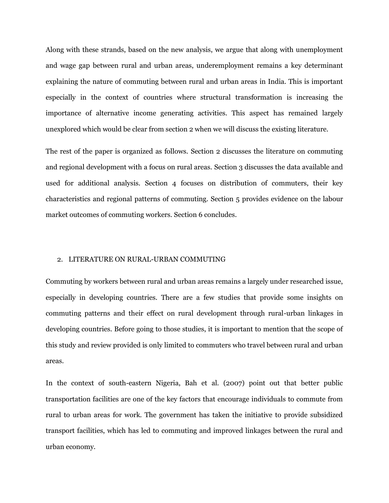Along with these strands, based on the new analysis, we argue that along with unemployment and wage gap between rural and urban areas, underemployment remains a key determinant explaining the nature of commuting between rural and urban areas in India. This is important especially in the context of countries where structural transformation is increasing the importance of alternative income generating activities. This aspect has remained largely unexplored which would be clear from section 2 when we will discuss the existing literature.

The rest of the paper is organized as follows. Section 2 discusses the literature on commuting and regional development with a focus on rural areas. Section 3 discusses the data available and used for additional analysis. Section 4 focuses on distribution of commuters, their key characteristics and regional patterns of commuting. Section 5 provides evidence on the labour market outcomes of commuting workers. Section 6 concludes.

#### 2. LITERATURE ON RURAL-URBAN COMMUTING

Commuting by workers between rural and urban areas remains a largely under researched issue, especially in developing countries. There are a few studies that provide some insights on commuting patterns and their effect on rural development through rural-urban linkages in developing countries. Before going to those studies, it is important to mention that the scope of this study and review provided is only limited to commuters who travel between rural and urban areas.

In the context of south-eastern Nigeria, Bah et al. (2007) point out that better public transportation facilities are one of the key factors that encourage individuals to commute from rural to urban areas for work. The government has taken the initiative to provide subsidized transport facilities, which has led to commuting and improved linkages between the rural and urban economy.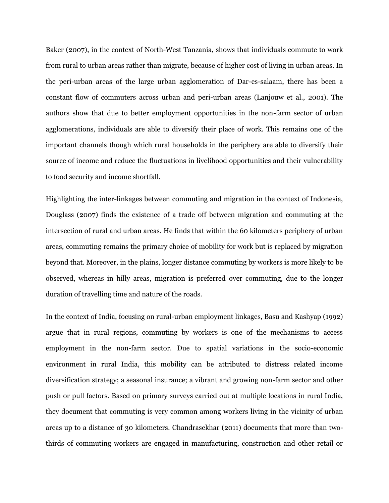Baker (2007), in the context of North-West Tanzania, shows that individuals commute to work from rural to urban areas rather than migrate, because of higher cost of living in urban areas. In the peri-urban areas of the large urban agglomeration of Dar-es-salaam, there has been a constant flow of commuters across urban and peri-urban areas (Lanjouw et al., 2001). The authors show that due to better employment opportunities in the non-farm sector of urban agglomerations, individuals are able to diversify their place of work. This remains one of the important channels though which rural households in the periphery are able to diversify their source of income and reduce the fluctuations in livelihood opportunities and their vulnerability to food security and income shortfall.

Highlighting the inter-linkages between commuting and migration in the context of Indonesia, Douglass (2007) finds the existence of a trade off between migration and commuting at the intersection of rural and urban areas. He finds that within the 60 kilometers periphery of urban areas, commuting remains the primary choice of mobility for work but is replaced by migration beyond that. Moreover, in the plains, longer distance commuting by workers is more likely to be observed, whereas in hilly areas, migration is preferred over commuting, due to the longer duration of travelling time and nature of the roads.

In the context of India, focusing on rural-urban employment linkages, Basu and Kashyap (1992) argue that in rural regions, commuting by workers is one of the mechanisms to access employment in the non-farm sector. Due to spatial variations in the socio-economic environment in rural India, this mobility can be attributed to distress related income diversification strategy; a seasonal insurance; a vibrant and growing non-farm sector and other push or pull factors. Based on primary surveys carried out at multiple locations in rural India, they document that commuting is very common among workers living in the vicinity of urban areas up to a distance of 30 kilometers. Chandrasekhar (2011) documents that more than twothirds of commuting workers are engaged in manufacturing, construction and other retail or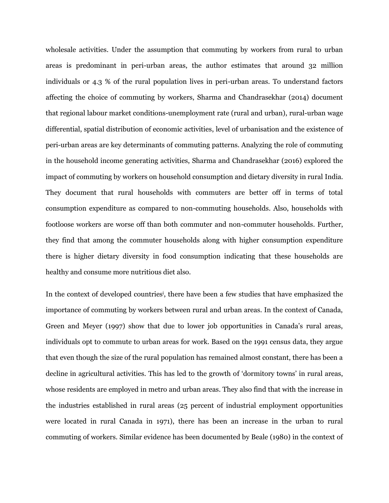wholesale activities. Under the assumption that commuting by workers from rural to urban areas is predominant in peri-urban areas, the author estimates that around 32 million individuals or 4.3 % of the rural population lives in peri-urban areas. To understand factors affecting the choice of commuting by workers, Sharma and Chandrasekhar (2014) document that regional labour market conditions-unemployment rate (rural and urban), rural-urban wage differential, spatial distribution of economic activities, level of urbanisation and the existence of peri-urban areas are key determinants of commuting patterns. Analyzing the role of commuting in the household income generating activities, Sharma and Chandrasekhar (2016) explored the impact of commuting by workers on household consumption and dietary diversity in rural India. They document that rural households with commuters are better off in terms of total consumption expenditure as compared to non-commuting households. Also, households with footloose workers are worse off than both commuter and non-commuter households. Further, they find that among the commuter households along with higher consumption expenditure there is higher dietary diversity in food consumption indicating that these households are healthy and consume more nutritious diet also.

In the context of developed countries<sup>i</sup>, there have been a few studies that have emphasized the importance of commuting by workers between rural and urban areas. In the context of Canada, Green and Meyer (1997) show that due to lower job opportunities in Canada"s rural areas, individuals opt to commute to urban areas for work. Based on the 1991 census data, they argue that even though the size of the rural population has remained almost constant, there has been a decline in agricultural activities. This has led to the growth of "dormitory towns" in rural areas, whose residents are employed in metro and urban areas. They also find that with the increase in the industries established in rural areas (25 percent of industrial employment opportunities were located in rural Canada in 1971), there has been an increase in the urban to rural commuting of workers. Similar evidence has been documented by Beale (1980) in the context of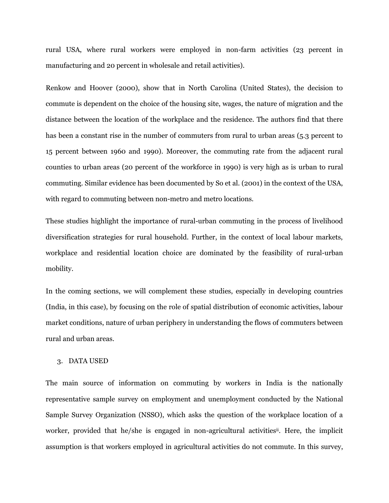rural USA, where rural workers were employed in non-farm activities (23 percent in manufacturing and 20 percent in wholesale and retail activities).

Renkow and Hoover (2000), show that in North Carolina (United States), the decision to commute is dependent on the choice of the housing site, wages, the nature of migration and the distance between the location of the workplace and the residence. The authors find that there has been a constant rise in the number of commuters from rural to urban areas (5.3 percent to 15 percent between 1960 and 1990). Moreover, the commuting rate from the adjacent rural counties to urban areas (20 percent of the workforce in 1990) is very high as is urban to rural commuting. Similar evidence has been documented by So et al. (2001) in the context of the USA, with regard to commuting between non-metro and metro locations.

These studies highlight the importance of rural-urban commuting in the process of livelihood diversification strategies for rural household. Further, in the context of local labour markets, workplace and residential location choice are dominated by the feasibility of rural-urban mobility.

In the coming sections, we will complement these studies, especially in developing countries (India, in this case), by focusing on the role of spatial distribution of economic activities, labour market conditions, nature of urban periphery in understanding the flows of commuters between rural and urban areas.

#### 3. DATA USED

The main source of information on commuting by workers in India is the nationally representative sample survey on employment and unemployment conducted by the National Sample Survey Organization (NSSO), which asks the question of the workplace location of a worker, provided that he/she is engaged in non-agricultural activitiesii. Here, the implicit assumption is that workers employed in agricultural activities do not commute. In this survey,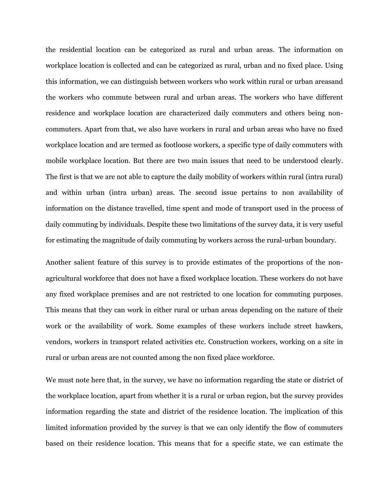the residential location can be categorized as rural and urban areas. The information on workplace location is collected and can be categorized as rural, urban and no fixed place. Using this information, we can distinguish between workers who work within rural or urban areasand the workers who commute between rural and urban areas. The workers who have different residence and workplace location are characterized daily commuters and others being noncommuters. Apart from that, we also have workers in rural and urban areas who have no fixed workplace location and are termed as footloose workers, a specific type of daily commuters with mobile workplace location. But there are two main issues that need to be understood clearly. The first is that we are not able to capture the daily mobility of workers within rural (intra rural) and within urban (intra urban) areas. The second issue pertains to non availability of information on the distance travelled, time spent and mode of transport used in the process of daily commuting by individuals. Despite these two limitations of the survey data, it is very useful for estimating the magnitude of daily commuting by workers across the rural-urban boundary.

Another salient feature of this survey is to provide estimates of the proportions of the nonagricultural workforce that does not have a fixed workplace location. These workers do not have any fixed workplace premises and are not restricted to one location for commuting purposes. This means that they can work in either rural or urban areas depending on the nature of their work or the availability of work. Some examples of these workers include street hawkers, vendors, workers in transport related activities etc. Construction workers, working on a site in rural or urban areas are not counted among the non fixed place workforce.

We must note here that, in the survey, we have no information regarding the state or district of the workplace location, apart from whether it is a rural or urban region, but the survey provides information regarding the state and district of the residence location. The implication of this limited information provided by the survey is that we can only identify the flow of commuters based on their residence location. This means that for a specific state, we can estimate the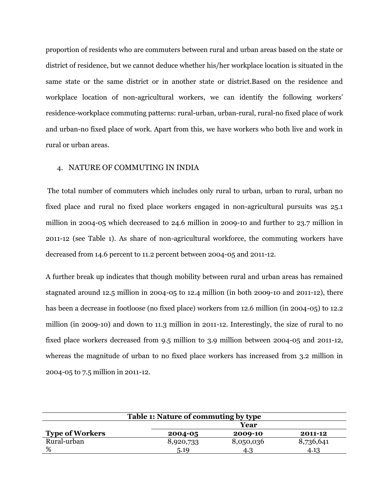proportion of residents who are commuters between rural and urban areas based on the state or district of residence, but we cannot deduce whether his/her workplace location is situated in the same state or the same district or in another state or district.Based on the residence and workplace location of non-agricultural workers, we can identify the following workers' residence-workplace commuting patterns: rural-urban, urban-rural, rural-no fixed place of work and urban-no fixed place of work. Apart from this, we have workers who both live and work in rural or urban areas.

#### 4. NATURE OF COMMUTING IN INDIA

 The total number of commuters which includes only rural to urban, urban to rural, urban no fixed place and rural no fixed place workers engaged in non-agricultural pursuits was 25.1 million in 2004-05 which decreased to 24.6 million in 2009-10 and further to 23.7 million in 2011-12 (see Table 1). As share of non-agricultural workforce, the commuting workers have decreased from 14.6 percent to 11.2 percent between 2004-05 and 2011-12.

A further break up indicates that though mobility between rural and urban areas has remained stagnated around 12.5 million in 2004-05 to 12.4 million (in both 2009-10 and 2011-12), there has been a decrease in footloose (no fixed place) workers from 12.6 million (in 2004-05) to 12.2 million (in 2009-10) and down to 11.3 million in 2011-12. Interestingly, the size of rural to no fixed place workers decreased from 9.5 million to 3.9 million between 2004-05 and 2011-12, whereas the magnitude of urban to no fixed place workers has increased from 3.2 million in 2004-05 to 7.5 million in 2011-12.

| Table 1: Nature of commuting by type |           |           |           |  |  |
|--------------------------------------|-----------|-----------|-----------|--|--|
|                                      | Year      |           |           |  |  |
| <b>Type of Workers</b>               | 2004-05   | 2009-10   | 2011-12   |  |  |
| Rural-urban                          | 8,920,733 | 8,050,036 | 8,736,641 |  |  |
| %                                    | 5.19      | 4.2       | 4.1?      |  |  |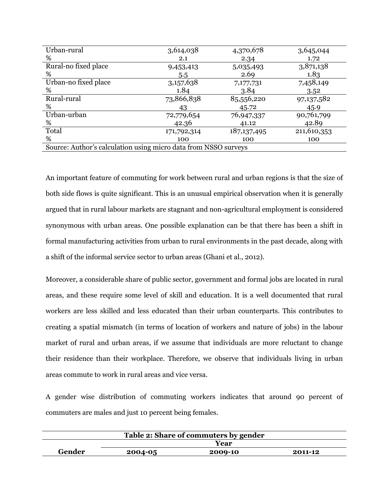| Urban-rural                                                     | 3,614,038   | 4,370,678     | 3,645,044    |  |  |
|-----------------------------------------------------------------|-------------|---------------|--------------|--|--|
| %                                                               | 2.1         | 2.34          | 1.72         |  |  |
| Rural-no fixed place                                            | 9,453,413   | 5,035,493     | 3,871,138    |  |  |
| %                                                               | 5.5         | 2.69          | 1.83         |  |  |
| Urban-no fixed place                                            | 3,157,638   | 7,177,731     | 7,458,149    |  |  |
| %                                                               | 1.84        | 3.84          | 3.52         |  |  |
| Rural-rural                                                     | 73,866,838  | 85,556,220    | 97, 137, 582 |  |  |
| %                                                               | 43          | 45.72         | 45.9         |  |  |
| Urban-urban                                                     | 72,779,654  | 76,947,337    | 90,761,799   |  |  |
| %                                                               | 42.36       | 41.12         | 42.89        |  |  |
| Total                                                           | 171,792,314 | 187, 137, 495 | 211,610,353  |  |  |
| %                                                               | 100         | 100           | 100          |  |  |
| Source: Author's calculation using micro data from NSSO surveys |             |               |              |  |  |

An important feature of commuting for work between rural and urban regions is that the size of both side flows is quite significant. This is an unusual empirical observation when it is generally argued that in rural labour markets are stagnant and non-agricultural employment is considered synonymous with urban areas. One possible explanation can be that there has been a shift in formal manufacturing activities from urban to rural environments in the past decade, along with a shift of the informal service sector to urban areas (Ghani et al., 2012).

Moreover, a considerable share of public sector, government and formal jobs are located in rural areas, and these require some level of skill and education. It is a well documented that rural workers are less skilled and less educated than their urban counterparts. This contributes to creating a spatial mismatch (in terms of location of workers and nature of jobs) in the labour market of rural and urban areas, if we assume that individuals are more reluctant to change their residence than their workplace. Therefore, we observe that individuals living in urban areas commute to work in rural areas and vice versa.

A gender wise distribution of commuting workers indicates that around 90 percent of commuters are males and just 10 percent being females.

| Table 2: Share of commuters by gender |         |         |         |  |
|---------------------------------------|---------|---------|---------|--|
|                                       | Year    |         |         |  |
| Gender                                | 2004-05 | 2009-10 | 2011-12 |  |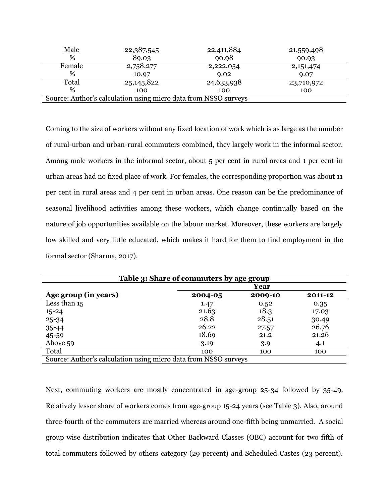| Male<br>%                                                       | 22,387,545<br>89.03 | 22,411,884<br>90.98 | 21,559,498<br>90.93 |  |
|-----------------------------------------------------------------|---------------------|---------------------|---------------------|--|
| Female                                                          | 2,758,277           | 2,222,054           | 2, 151, 474         |  |
| %                                                               | 10.97               | 9.02                | 9.07                |  |
| Total                                                           | 25, 145, 822        | 24,633,938          | 23,710,972          |  |
| %                                                               | 100                 | 100                 | 100                 |  |
| Source: Author's calculation using micro data from NSSO surveys |                     |                     |                     |  |

Coming to the size of workers without any fixed location of work which is as large as the number of rural-urban and urban-rural commuters combined, they largely work in the informal sector. Among male workers in the informal sector, about 5 per cent in rural areas and 1 per cent in urban areas had no fixed place of work. For females, the corresponding proportion was about 11 per cent in rural areas and 4 per cent in urban areas. One reason can be the predominance of seasonal livelihood activities among these workers, which change continually based on the nature of job opportunities available on the labour market. Moreover, these workers are largely low skilled and very little educated, which makes it hard for them to find employment in the formal sector (Sharma, 2017).

| Table 3: Share of commuters by age group                        |         |         |         |  |  |
|-----------------------------------------------------------------|---------|---------|---------|--|--|
|                                                                 | Year    |         |         |  |  |
| Age group (in years)                                            | 2004-05 | 2009-10 | 2011-12 |  |  |
| Less than 15                                                    | 1.47    | 0.52    | 0.35    |  |  |
| $15 - 24$                                                       | 21.63   | 18.3    | 17.03   |  |  |
| $25 - 34$                                                       | 28.8    | 28.51   | 30.49   |  |  |
| $35 - 44$                                                       | 26.22   | 27.57   | 26.76   |  |  |
| $45 - 59$                                                       | 18.69   | 21.2    | 21.26   |  |  |
| Above 59                                                        | 3.19    | 3.9     | 4.1     |  |  |
| Total                                                           | 100     | 100     | 100     |  |  |
| Source: Author's calculation using micro data from NSSO surveys |         |         |         |  |  |

Next, commuting workers are mostly concentrated in age-group 25-34 followed by 35-49. Relatively lesser share of workers comes from age-group 15-24 years (see Table 3). Also, around three-fourth of the commuters are married whereas around one-fifth being unmarried. A social group wise distribution indicates that Other Backward Classes (OBC) account for two fifth of total commuters followed by others category (29 percent) and Scheduled Castes (23 percent).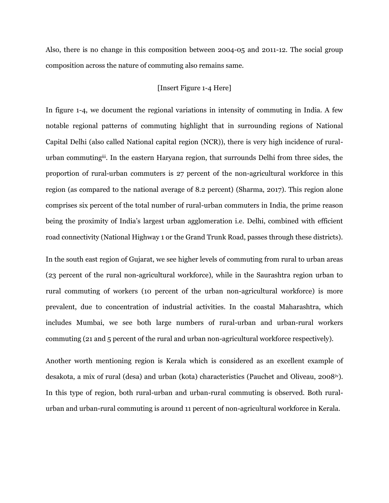Also, there is no change in this composition between 2004-05 and 2011-12. The social group composition across the nature of commuting also remains same.

### [Insert Figure 1-4 Here]

In figure 1-4, we document the regional variations in intensity of commuting in India. A few notable regional patterns of commuting highlight that in surrounding regions of National Capital Delhi (also called National capital region (NCR)), there is very high incidence of ruralurban commutingiii. In the eastern Haryana region, that surrounds Delhi from three sides, the proportion of rural-urban commuters is 27 percent of the non-agricultural workforce in this region (as compared to the national average of 8.2 percent) (Sharma, 2017). This region alone comprises six percent of the total number of rural-urban commuters in India, the prime reason being the proximity of India"s largest urban agglomeration i.e. Delhi, combined with efficient road connectivity (National Highway 1 or the Grand Trunk Road, passes through these districts).

In the south east region of Gujarat, we see higher levels of commuting from rural to urban areas (23 percent of the rural non-agricultural workforce), while in the Saurashtra region urban to rural commuting of workers (10 percent of the urban non-agricultural workforce) is more prevalent, due to concentration of industrial activities. In the coastal Maharashtra, which includes Mumbai, we see both large numbers of rural-urban and urban-rural workers commuting (21 and 5 percent of the rural and urban non-agricultural workforce respectively).

Another worth mentioning region is Kerala which is considered as an excellent example of desakota, a mix of rural (desa) and urban (kota) characteristics (Pauchet and Oliveau, 2008iv). In this type of region, both rural-urban and urban-rural commuting is observed. Both ruralurban and urban-rural commuting is around 11 percent of non-agricultural workforce in Kerala.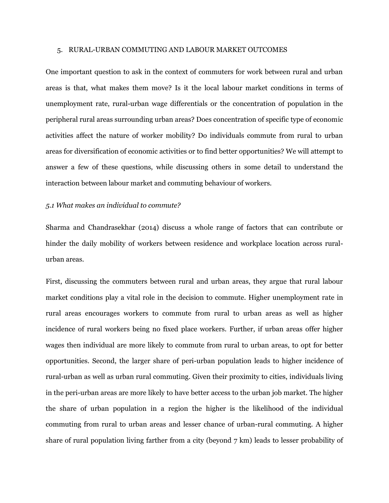#### 5. RURAL-URBAN COMMUTING AND LABOUR MARKET OUTCOMES

One important question to ask in the context of commuters for work between rural and urban areas is that, what makes them move? Is it the local labour market conditions in terms of unemployment rate, rural-urban wage differentials or the concentration of population in the peripheral rural areas surrounding urban areas? Does concentration of specific type of economic activities affect the nature of worker mobility? Do individuals commute from rural to urban areas for diversification of economic activities or to find better opportunities? We will attempt to answer a few of these questions, while discussing others in some detail to understand the interaction between labour market and commuting behaviour of workers.

#### *5.1 What makes an individual to commute?*

Sharma and Chandrasekhar (2014) discuss a whole range of factors that can contribute or hinder the daily mobility of workers between residence and workplace location across ruralurban areas.

First, discussing the commuters between rural and urban areas, they argue that rural labour market conditions play a vital role in the decision to commute. Higher unemployment rate in rural areas encourages workers to commute from rural to urban areas as well as higher incidence of rural workers being no fixed place workers. Further, if urban areas offer higher wages then individual are more likely to commute from rural to urban areas, to opt for better opportunities. Second, the larger share of peri-urban population leads to higher incidence of rural-urban as well as urban rural commuting. Given their proximity to cities, individuals living in the peri-urban areas are more likely to have better access to the urban job market. The higher the share of urban population in a region the higher is the likelihood of the individual commuting from rural to urban areas and lesser chance of urban-rural commuting. A higher share of rural population living farther from a city (beyond 7 km) leads to lesser probability of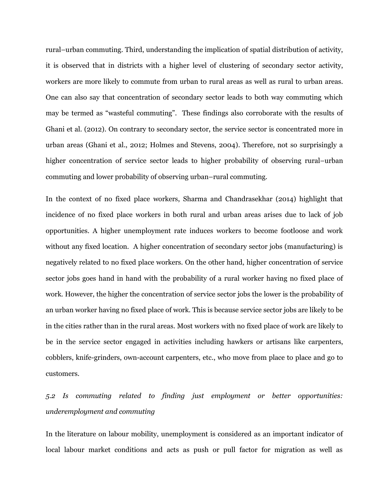rural–urban commuting. Third, understanding the implication of spatial distribution of activity, it is observed that in districts with a higher level of clustering of secondary sector activity, workers are more likely to commute from urban to rural areas as well as rural to urban areas. One can also say that concentration of secondary sector leads to both way commuting which may be termed as "wasteful commuting". These findings also corroborate with the results of Ghani et al. (2012). On contrary to secondary sector, the service sector is concentrated more in urban areas (Ghani et al., 2012; Holmes and Stevens, 2004). Therefore, not so surprisingly a higher concentration of service sector leads to higher probability of observing rural–urban commuting and lower probability of observing urban–rural commuting.

In the context of no fixed place workers, Sharma and Chandrasekhar (2014) highlight that incidence of no fixed place workers in both rural and urban areas arises due to lack of job opportunities. A higher unemployment rate induces workers to become footloose and work without any fixed location. A higher concentration of secondary sector jobs (manufacturing) is negatively related to no fixed place workers. On the other hand, higher concentration of service sector jobs goes hand in hand with the probability of a rural worker having no fixed place of work. However, the higher the concentration of service sector jobs the lower is the probability of an urban worker having no fixed place of work. This is because service sector jobs are likely to be in the cities rather than in the rural areas. Most workers with no fixed place of work are likely to be in the service sector engaged in activities including hawkers or artisans like carpenters, cobblers, knife-grinders, own-account carpenters, etc., who move from place to place and go to customers.

# *5.2 Is commuting related to finding just employment or better opportunities: underemployment and commuting*

In the literature on labour mobility, unemployment is considered as an important indicator of local labour market conditions and acts as push or pull factor for migration as well as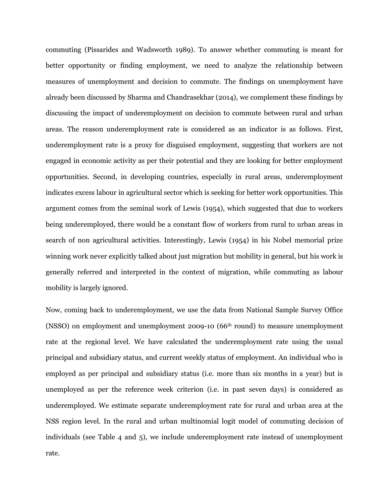commuting (Pissarides and Wadsworth 1989). To answer whether commuting is meant for better opportunity or finding employment, we need to analyze the relationship between measures of unemployment and decision to commute. The findings on unemployment have already been discussed by Sharma and Chandrasekhar (2014), we complement these findings by discussing the impact of underemployment on decision to commute between rural and urban areas. The reason underemployment rate is considered as an indicator is as follows. First, underemployment rate is a proxy for disguised employment, suggesting that workers are not engaged in economic activity as per their potential and they are looking for better employment opportunities. Second, in developing countries, especially in rural areas, underemployment indicates excess labour in agricultural sector which is seeking for better work opportunities. This argument comes from the seminal work of Lewis (1954), which suggested that due to workers being underemployed, there would be a constant flow of workers from rural to urban areas in search of non agricultural activities. Interestingly, Lewis (1954) in his Nobel memorial prize winning work never explicitly talked about just migration but mobility in general, but his work is generally referred and interpreted in the context of migration, while commuting as labour mobility is largely ignored.

Now, coming back to underemployment, we use the data from National Sample Survey Office (NSSO) on employment and unemployment 2009-10 (66th round) to measure unemployment rate at the regional level. We have calculated the underemployment rate using the usual principal and subsidiary status, and current weekly status of employment. An individual who is employed as per principal and subsidiary status (i.e. more than six months in a year) but is unemployed as per the reference week criterion (i.e. in past seven days) is considered as underemployed. We estimate separate underemployment rate for rural and urban area at the NSS region level. In the rural and urban multinomial logit model of commuting decision of individuals (see Table 4 and 5), we include underemployment rate instead of unemployment rate.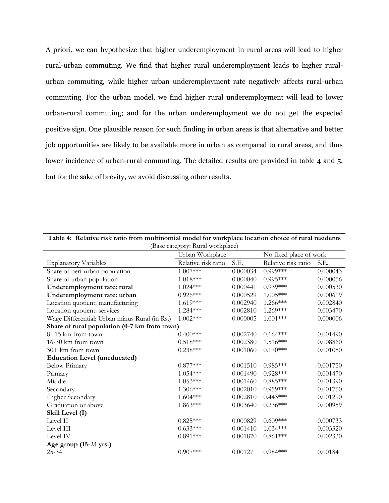A priori, we can hypothesize that higher underemployment in rural areas will lead to higher rural-urban commuting. We find that higher rural underemployment leads to higher ruralurban commuting, while higher urban underemployment rate negatively affects rural-urban commuting. For the urban model, we find higher rural underemployment will lead to lower urban-rural commuting; and for the urban underemployment we do not get the expected positive sign. One plausible reason for such finding in urban areas is that alternative and better job opportunities are likely to be available more in urban as compared to rural areas, and thus lower incidence of urban-rural commuting. The detailed results are provided in table 4 and 5, but for the sake of brevity, we avoid discussing other results.

| Table 4: Relative risk ratio from multinomial model for workplace location choice of rural residents |                     |          |                        |          |  |
|------------------------------------------------------------------------------------------------------|---------------------|----------|------------------------|----------|--|
| (Base category: Rural workplace)                                                                     |                     |          |                        |          |  |
|                                                                                                      | Urban Workplace     |          | No fixed place of work |          |  |
| <b>Explanatory Variables</b>                                                                         | Relative risk ratio | S.E.     | Relative risk ratio    | S.E.     |  |
| Share of peri-urban population                                                                       | $1.007***$          | 0.000034 | $0.999***$             | 0.000043 |  |
| Share of urban population                                                                            | 1.018***            | 0.000040 | $0.995***$             | 0.000056 |  |
| Underemployment rate: rural                                                                          | $1.024***$          | 0.000441 | $0.939***$             | 0.000530 |  |
| Underemployment rate: urban                                                                          | $0.926***$          | 0.000529 | $1.005***$             | 0.000619 |  |
| Location quotient: manufacturing                                                                     | 1.619***            | 0.002940 | $1.266***$             | 0.002840 |  |
| Location quotient: services                                                                          | 1.284***            | 0.002810 | $1.269***$             | 0.003470 |  |
| Wage Differential: Urban minus Rural (in Rs.)                                                        | $1.002***$          | 0.000005 | $1.001***$             | 0.000006 |  |
| Share of rural population (0-7 km from town)                                                         |                     |          |                        |          |  |
| 8--15 km from town                                                                                   | $0.400***$          | 0.002740 | $0.164***$             | 0.001490 |  |
| 16-30 km from town                                                                                   | $0.518***$          | 0.002380 | $1.516***$             | 0.008860 |  |
| $30+$ km from town                                                                                   | $0.238***$          | 0.001060 | $0.170***$             | 0.001050 |  |
| <b>Education Level (uneducated)</b>                                                                  |                     |          |                        |          |  |
| <b>Below Primary</b>                                                                                 | $0.877***$          | 0.001510 | $0.985***$             | 0.001750 |  |
| Primary                                                                                              | 1.054***            | 0.001490 | $0.928***$             | 0.001470 |  |
| Middle                                                                                               | $1.053***$          | 0.001460 | $0.885***$             | 0.001390 |  |
| Secondary                                                                                            | 1.306***            | 0.002010 | $0.959***$             | 0.001750 |  |
| Higher Secondary                                                                                     | $1.604***$          | 0.002810 | $0.443***$             | 0.001290 |  |
| Graduation or above                                                                                  | 1.863***            | 0.003640 | $0.236***$             | 0.000959 |  |
| Skill Level (I)                                                                                      |                     |          |                        |          |  |
| Level II                                                                                             | $0.825***$          | 0.000829 | $0.609***$             | 0.000733 |  |
| Level III                                                                                            | $0.633***$          | 0.001410 | $1.034***$             | 0.003320 |  |
| Level IV                                                                                             | $0.891***$          | 0.001870 | $0.861***$             | 0.002330 |  |
| Age group (15-24 yrs.)                                                                               |                     |          |                        |          |  |
| $25 - 34$                                                                                            | $0.907***$          | 0.00127  | $0.984***$             | 0.00184  |  |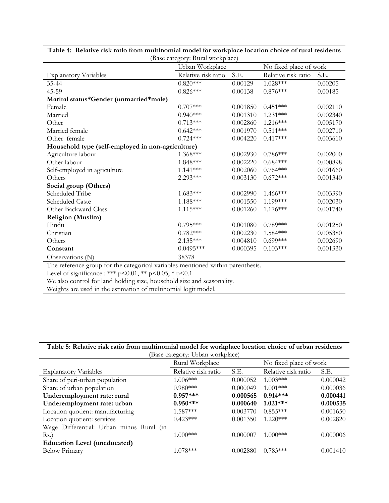| (Dase category. Ruial workplace)                  |                     |          |                        |          |  |
|---------------------------------------------------|---------------------|----------|------------------------|----------|--|
|                                                   | Urban Workplace     |          | No fixed place of work |          |  |
| <b>Explanatory Variables</b>                      | Relative risk ratio | S.E.     | Relative risk ratio    | S.E.     |  |
| 35-44                                             | $0.820***$          | 0.00129  | $1.028***$             | 0.00205  |  |
| $45 - 59$                                         | $0.826***$          | 0.00138  | $0.876***$             | 0.00185  |  |
| Marital status*Gender (unmarried*male)            |                     |          |                        |          |  |
| Female                                            | $0.707***$          | 0.001850 | $0.451***$             | 0.002110 |  |
| Married                                           | $0.940***$          | 0.001310 | $1.231***$             | 0.002340 |  |
| Other                                             | $0.713***$          | 0.002860 | $1.216***$             | 0.005170 |  |
| Married female                                    | $0.642***$          | 0.001970 | $0.511***$             | 0.002710 |  |
| Other female                                      | $0.724***$          | 0.004220 | $0.417***$             | 0.003610 |  |
| Household type (self-employed in non-agriculture) |                     |          |                        |          |  |
| Agriculture labour                                | 1.368***            | 0.002930 | $0.786***$             | 0.002000 |  |
| Other labour                                      | 1.848 ***           | 0.002220 | $0.684***$             | 0.000898 |  |
| Self-employed in agriculture                      | $1.141***$          | 0.002060 | $0.764***$             | 0.001660 |  |
| Others                                            | 2.293***            | 0.003130 | $0.672***$             | 0.001340 |  |
| Social group (Others)                             |                     |          |                        |          |  |
| Scheduled Tribe                                   | $1.683***$          | 0.002990 | 1.466***               | 0.003390 |  |
| <b>Scheduled Caste</b>                            | 1.188***            | 0.001550 | 1.199***               | 0.002030 |  |
| Other Backward Class                              | $1.115***$          | 0.001260 | $1.176***$             | 0.001740 |  |
| <b>Religion (Muslim)</b>                          |                     |          |                        |          |  |
| Hindu                                             | $0.795***$          | 0.001080 | $0.789***$             | 0.001250 |  |
| Christian                                         | $0.782***$          | 0.002230 | 1.584***               | 0.005380 |  |
| Others                                            | 2.135***            | 0.004810 | $0.699***$             | 0.002690 |  |
| Constant                                          | $0.0495***$         | 0.000395 | $0.103***$             | 0.001330 |  |
| Observations (N)                                  | 38378               |          |                        |          |  |

**Table 4: Relative risk ratio from multinomial model for workplace location choice of rural residents**  (Base category: Rural workplace)

The reference group for the categorical variables mentioned within parenthesis.

Level of significance : \*\*\* p<0.01, \*\* p<0.05, \* p<0.1

We also control for land holding size, household size and seasonality.

Weights are used in the estimation of multinomial logit model.

| Table 5: Relative risk ratio from multinomial model for workplace location choice of urban residents |  |
|------------------------------------------------------------------------------------------------------|--|
| (Base category: Urban workplace)                                                                     |  |

|                                          | Rural Workplace     |          | No fixed place of work |          |
|------------------------------------------|---------------------|----------|------------------------|----------|
| <b>Explanatory Variables</b>             | Relative risk ratio | S.E.     | Relative risk ratio    | S.E.     |
| Share of peri-urban population           | $1.006***$          | 0.000052 | $1.003***$             | 0.000042 |
| Share of urban population                | $0.980***$          | 0.000049 | $1.001***$             | 0.000036 |
| Underemployment rate: rural              | $0.957***$          | 0.000565 | $0.914***$             | 0.000441 |
| Underemployment rate: urban              | $0.950***$          | 0.000640 | $1.021***$             | 0.000535 |
| Location quotient: manufacturing         | $1.587***$          | 0.003770 | $0.855***$             | 0.001650 |
| Location quotient: services              | $0.423***$          | 0.001350 | $1.220***$             | 0.002820 |
| Wage Differential: Urban minus Rural (in |                     |          |                        |          |
| $\rm{Rs.}$                               | $1.000***$          | 0.000007 | $1.000***$             | 0.000006 |
| <b>Education Level (uneducated)</b>      |                     |          |                        |          |
| <b>Below Primary</b>                     | $1.078***$          | 0.002880 | $0.783***$             | 0.001410 |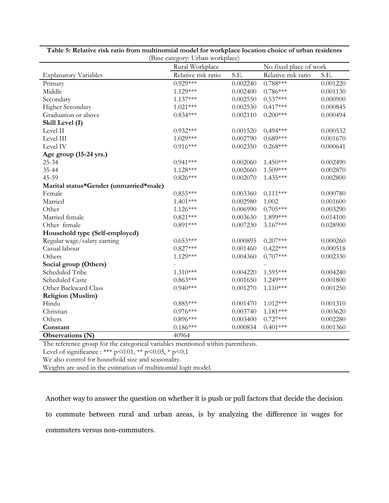| (dase category: Urban workplace)<br>No fixed place of work<br>Rural Workplace |                     |          |                     |          |
|-------------------------------------------------------------------------------|---------------------|----------|---------------------|----------|
| <b>Explanatory Variables</b>                                                  | Relative risk ratio | S.E.     | Relative risk ratio | S.E.     |
| Primary                                                                       | $0.929***$          | 0.002240 | $0.788***$          | 0.001220 |
| Middle                                                                        | $1.129***$          | 0.002400 | $0.786***$          | 0.001130 |
| Secondary                                                                     | $1.137***$          | 0.002550 | $0.537***$          | 0.000900 |
| Higher Secondary                                                              | $1.021***$          | 0.002530 | $0.417***$          | 0.000845 |
| Graduation or above                                                           | $0.834***$          | 0.002110 | $0.200***$          | 0.000494 |
| Skill Level (I)                                                               |                     |          |                     |          |
| Level II                                                                      | $0.932***$          | 0.001520 | $0.494***$          | 0.000532 |
| Level III                                                                     | 1.029***            | 0.002790 | $0.689***$          | 0.001670 |
| Level IV                                                                      | $0.916***$          | 0.002350 | $0.268***$          | 0.000641 |
| Age group (15-24 yrs.)                                                        |                     |          |                     |          |
| 25-34                                                                         | $0.941***$          | 0.002060 | $1.450***$          | 0.002490 |
| 35-44                                                                         | 1.128***            | 0.002660 | 1.509***            | 0.002870 |
| 45-59                                                                         | $0.826***$          | 0.002070 | $1.435***$          | 0.002800 |
| Marital status*Gender (unmarried*male)                                        |                     |          |                     |          |
| Female                                                                        | $0.855***$          | 0.003360 | $0.111***$          | 0.000780 |
| Married                                                                       | $1.401***$          | 0.002980 | 1.002               | 0.001600 |
| Other                                                                         | $1.126***$          | 0.006990 | $0.705***$          | 0.003290 |
| Married female                                                                | $0.821***$          | 0.003630 | 1.899***            | 0.014100 |
| Other female                                                                  | $0.891***$          | 0.007230 | $3.167***$          | 0.028900 |
| Household type (Self-employed)                                                |                     |          |                     |          |
| Regular wage/salary earning                                                   | $0.653***$          | 0.000895 | $0.207***$          | 0.000260 |
| Casual labour                                                                 | $0.827***$          | 0.001460 | $0.422***$          | 0.000518 |
| Others                                                                        | 1.129***            | 0.004360 | $0.707***$          | 0.002330 |
| Social group (Others)                                                         |                     |          |                     |          |
| Scheduled Tribe                                                               | $1.310***$          | 0.004220 | 1.595***            | 0.004240 |
| <b>Scheduled Caste</b>                                                        | $0.863***$          | 0.001650 | 1.249***            | 0.001800 |
| Other Backward Class                                                          | $0.940***$          | 0.001270 | $1.110***$          | 0.001250 |
| <b>Religion (Muslim)</b>                                                      |                     |          |                     |          |
| Hindu                                                                         | $0.885***$          | 0.001470 | $1.012***$          | 0.001310 |
| Christian                                                                     | $0.976***$          | 0.003740 | $1.181***$          | 0.003620 |
| Others                                                                        | $0.896***$          | 0.003400 | $0.727***$          | 0.002280 |
| Constant                                                                      | $0.186***$          | 0.000834 | $0.401***$          | 0.001360 |
| Observations (N)                                                              | 40964               |          |                     |          |

**Table 5: Relative risk ratio from multinomial model for workplace location choice of urban residents**  (Base category: Urban workplace)

The reference group for the categorical variables mentioned within parenthesis.

Level of significance : \*\*\* p<0.01, \*\* p<0.05, \* p<0.1

We also control for household size and seasonality.

Weights are used in the estimation of multinomial logit model.

Another way to answer the question on whether it is push or pull factors that decide the decision to commute between rural and urban areas, is by analyzing the difference in wages for commuters versus non-commuters.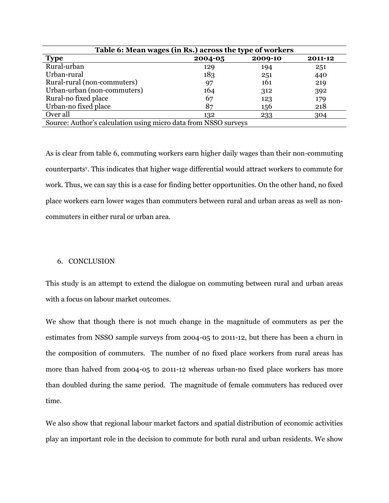| Table 6: Mean wages (in Rs.) across the type of workers         |         |         |         |  |  |
|-----------------------------------------------------------------|---------|---------|---------|--|--|
| <b>Type</b>                                                     | 2004-05 | 2009-10 | 2011-12 |  |  |
| Rural-urban                                                     | 129     | 194     | 251     |  |  |
| Urban-rural                                                     | 183     | 251     | 440     |  |  |
| Rural-rural (non-commuters)                                     | 97      | 161     | 219     |  |  |
| Urban-urban (non-commuters)                                     | 164     | 312     | 392     |  |  |
| Rural-no fixed place                                            | 67      | 123     | 179     |  |  |
| Urban-no fixed place                                            | 87      | 156     | 218     |  |  |
| Over all                                                        | 132     | 233     | 304     |  |  |
| Source: Author's calculation using micro data from NSSO surveys |         |         |         |  |  |

As is clear from table 6, commuting workers earn higher daily wages than their non-commuting counterparts<sup>v</sup> . This indicates that higher wage differential would attract workers to commute for work. Thus, we can say this is a case for finding better opportunities. On the other hand, no fixed place workers earn lower wages than commuters between rural and urban areas as well as noncommuters in either rural or urban area.

### 6. CONCLUSION

This study is an attempt to extend the dialogue on commuting between rural and urban areas with a focus on labour market outcomes.

We show that though there is not much change in the magnitude of commuters as per the estimates from NSSO sample surveys from 2004-05 to 2011-12, but there has been a churn in the composition of commuters. The number of no fixed place workers from rural areas has more than halved from 2004-05 to 2011-12 whereas urban-no fixed place workers has more than doubled during the same period. The magnitude of female commuters has reduced over time.

We also show that regional labour market factors and spatial distribution of economic activities play an important role in the decision to commute for both rural and urban residents. We show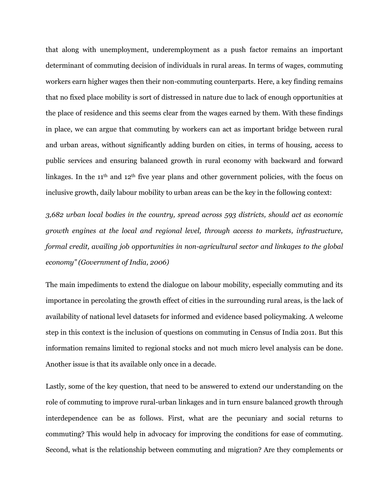that along with unemployment, underemployment as a push factor remains an important determinant of commuting decision of individuals in rural areas. In terms of wages, commuting workers earn higher wages then their non-commuting counterparts. Here, a key finding remains that no fixed place mobility is sort of distressed in nature due to lack of enough opportunities at the place of residence and this seems clear from the wages earned by them. With these findings in place, we can argue that commuting by workers can act as important bridge between rural and urban areas, without significantly adding burden on cities, in terms of housing, access to public services and ensuring balanced growth in rural economy with backward and forward linkages. In the 11<sup>th</sup> and 12<sup>th</sup> five year plans and other government policies, with the focus on inclusive growth, daily labour mobility to urban areas can be the key in the following context:

*3,682 urban local bodies in the country, spread across 593 districts, should act as economic growth engines at the local and regional level, through access to markets, infrastructure, formal credit, availing job opportunities in non-agricultural sector and linkages to the global economy" (Government of India, 2006)* 

The main impediments to extend the dialogue on labour mobility, especially commuting and its importance in percolating the growth effect of cities in the surrounding rural areas, is the lack of availability of national level datasets for informed and evidence based policymaking. A welcome step in this context is the inclusion of questions on commuting in Census of India 2011. But this information remains limited to regional stocks and not much micro level analysis can be done. Another issue is that its available only once in a decade.

Lastly, some of the key question, that need to be answered to extend our understanding on the role of commuting to improve rural-urban linkages and in turn ensure balanced growth through interdependence can be as follows. First, what are the pecuniary and social returns to commuting? This would help in advocacy for improving the conditions for ease of commuting. Second, what is the relationship between commuting and migration? Are they complements or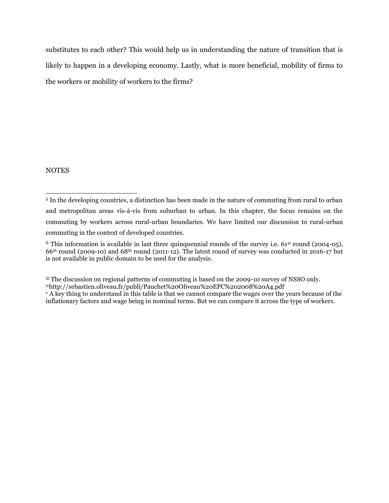substitutes to each other? This would help us in understanding the nature of transition that is likely to happen in a developing economy. Lastly, what is more beneficial, mobility of firms to the workers or mobility of workers to the firms?

# NOTES

iii The discussion on regional patterns of commuting is based on the 2009-10 survey of NSSO only. ivhttp://sebastien.oliveau.fr/publi/Pauchet%20Oliveau%20EPC%202008%20A4.pdf v A key thing to understand in this table is that we cannot compare the wages over the years because of the inflationary factors and wage being in nominal terms. But we can compare it across the type of workers.

<sup>1</sup> ii In the developing countries, a distinction has been made in the nature of commuting from rural to urban and metropolitan areas vis-à-vis from suburban to urban. In this chapter, the focus remains on the commuting by workers across rural-urban boundaries. We have limited our discussion to rural-urban commuting in the context of developed countries.

 $\mu$  ii This information is available in last three quinquennial rounds of the survey i.e. 61<sup>st</sup> round (2004-05), 66th round (2009-10) and 68th round (2011-12). The latest round of survey was conducted in 2016-17 but is not available in public domain to be used for the analysis.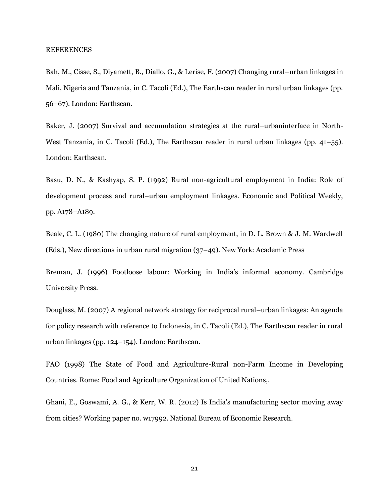#### REFERENCES

Bah, M., Cisse, S., Diyamett, B., Diallo, G., & Lerise, F. (2007) Changing rural–urban linkages in Mali, Nigeria and Tanzania, in C. Tacoli (Ed.), The Earthscan reader in rural urban linkages (pp. 56–67). London: Earthscan.

Baker, J. (2007) Survival and accumulation strategies at the rural–urbaninterface in North-West Tanzania, in C. Tacoli (Ed.), The Earthscan reader in rural urban linkages (pp. 41–55). London: Earthscan.

Basu, D. N., & Kashyap, S. P. (1992) Rural non-agricultural employment in India: Role of development process and rural–urban employment linkages. Economic and Political Weekly, pp. A178–A189.

Beale, C. L. (1980) The changing nature of rural employment, in D. L. Brown & J. M. Wardwell (Eds.), New directions in urban rural migration (37–49). New York: Academic Press

Breman, J. (1996) Footloose labour: Working in India's informal economy. Cambridge University Press.

Douglass, M. (2007) A regional network strategy for reciprocal rural–urban linkages: An agenda for policy research with reference to Indonesia, in C. Tacoli (Ed.), The Earthscan reader in rural urban linkages (pp. 124–154). London: Earthscan.

FAO (1998) The State of Food and Agriculture-Rural non-Farm Income in Developing Countries. Rome: Food and Agriculture Organization of United Nations,.

Ghani, E., Goswami, A. G., & Kerr, W. R. (2012) Is India"s manufacturing sector moving away from cities? Working paper no. w17992. National Bureau of Economic Research.

21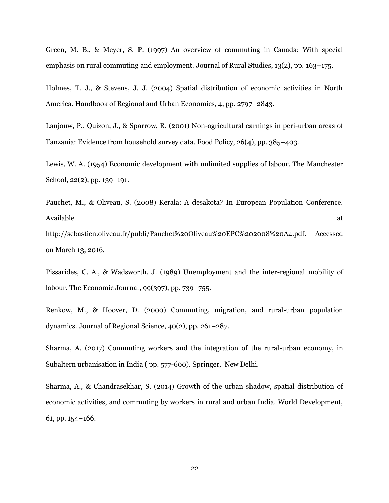Green, M. B., & Meyer, S. P. (1997) An overview of commuting in Canada: With special emphasis on rural commuting and employment. Journal of Rural Studies, 13(2), pp. 163–175.

Holmes, T. J., & Stevens, J. J. (2004) Spatial distribution of economic activities in North America. Handbook of Regional and Urban Economics, 4, pp. 2797–2843.

Lanjouw, P., Quizon, J., & Sparrow, R. (2001) Non-agricultural earnings in peri-urban areas of Tanzania: Evidence from household survey data. Food Policy, 26(4), pp. 385–403.

Lewis, W. A. (1954) Economic development with unlimited supplies of labour. The Manchester School, 22(2), pp. 139–191.

Pauchet, M., & Oliveau, S. (2008) Kerala: A desakota? In European Population Conference. Available at a state of the state of the state  $\alpha$  at a state of the state  $\alpha$ http://sebastien.oliveau.fr/publi/Pauchet%20Oliveau%20EPC%202008%20A4.pdf. Accessed

on March 13, 2016.

Pissarides, C. A., & Wadsworth, J. (1989) Unemployment and the inter-regional mobility of labour. The Economic Journal, 99(397), pp. 739–755.

Renkow, M., & Hoover, D. (2000) Commuting, migration, and rural-urban population dynamics. Journal of Regional Science, 40(2), pp. 261–287.

Sharma, A. (2017) Commuting workers and the integration of the rural-urban economy, in Subaltern urbanisation in India ( pp. 577-600). Springer, New Delhi.

Sharma, A., & Chandrasekhar, S. (2014) Growth of the urban shadow, spatial distribution of economic activities, and commuting by workers in rural and urban India. World Development, 61, pp. 154–166.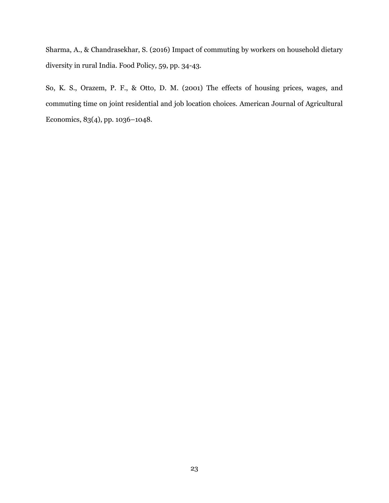Sharma, A., & Chandrasekhar, S. (2016) Impact of commuting by workers on household dietary diversity in rural India. Food Policy, 59, pp. 34-43.

So, K. S., Orazem, P. F., & Otto, D. M. (2001) The effects of housing prices, wages, and commuting time on joint residential and job location choices. American Journal of Agricultural Economics, 83(4), pp. 1036–1048.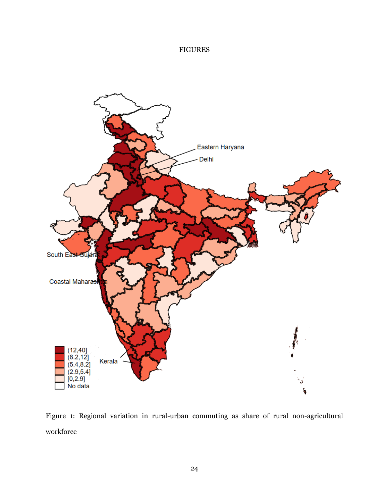# FIGURES



Figure 1: Regional variation in rural-urban commuting as share of rural non-agricultural workforce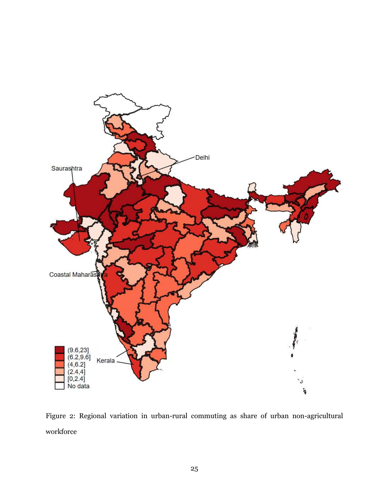

Figure 2: Regional variation in urban-rural commuting as share of urban non-agricultural workforce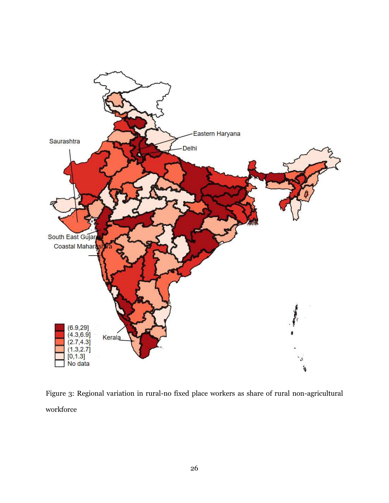

Figure 3: Regional variation in rural-no fixed place workers as share of rural non-agricultural workforce